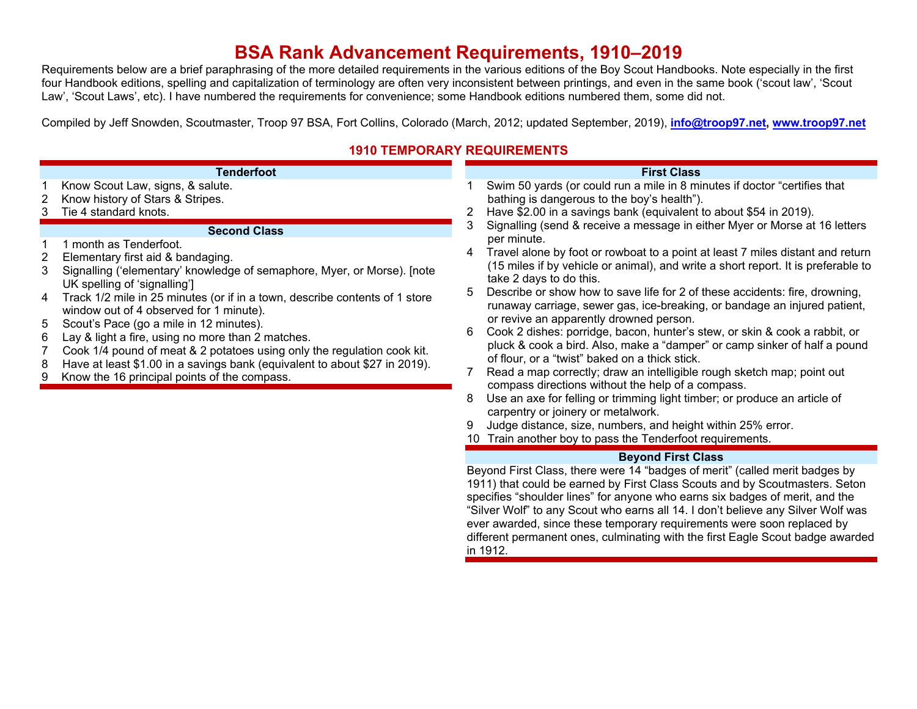# **BSA Rank Advancement Requirements, 1910–2019**

Requirements below are a brief paraphrasing of the more detailed requirements in the various editions of the Boy Scout Handbooks. Note especially in the first four Handbook editions, spelling and capitalization of terminology are often very inconsistent between printings, and even in the same book ('scout law', 'Scout Law', 'Scout Laws', etc). I have numbered the requirements for convenience; some Handbook editions numbered them, some did not.

Compiled by Jeff Snowden, Scoutmaster, Troop 97 BSA, Fort Collins, Colorado (March, 2012; updated September, 2019), **info@troop97.net, www.troop97.net**

## **1910 TEMPORARY REQUIREMENTS**

|                            | <b>Tenderfoot</b>                                                                                                                                                                                                                                                                                                                                                                                                                                                                                                                                                                                                              |                            | <b>First Class</b>                                                                                                                                                                                                                                                                                                                                                                                                                                                                                                                                                                                                                                                                                                                                                                                                                                                                                                                                                                                              |
|----------------------------|--------------------------------------------------------------------------------------------------------------------------------------------------------------------------------------------------------------------------------------------------------------------------------------------------------------------------------------------------------------------------------------------------------------------------------------------------------------------------------------------------------------------------------------------------------------------------------------------------------------------------------|----------------------------|-----------------------------------------------------------------------------------------------------------------------------------------------------------------------------------------------------------------------------------------------------------------------------------------------------------------------------------------------------------------------------------------------------------------------------------------------------------------------------------------------------------------------------------------------------------------------------------------------------------------------------------------------------------------------------------------------------------------------------------------------------------------------------------------------------------------------------------------------------------------------------------------------------------------------------------------------------------------------------------------------------------------|
|                            | Know Scout Law, signs, & salute.<br>Know history of Stars & Stripes.<br>Tie 4 standard knots.                                                                                                                                                                                                                                                                                                                                                                                                                                                                                                                                  | 2<br>3                     | Swim 50 yards (or could run a mile in 8 minutes if doctor "certifies that<br>bathing is dangerous to the boy's health").<br>Have \$2.00 in a savings bank (equivalent to about \$54 in 2019).<br>Signalling (send & receive a message in either Myer or Morse at 16 letters                                                                                                                                                                                                                                                                                                                                                                                                                                                                                                                                                                                                                                                                                                                                     |
| 2<br>3<br>4<br>5<br>6<br>8 | <b>Second Class</b><br>month as Tenderfoot.<br>Elementary first aid & bandaging.<br>Signalling ('elementary' knowledge of semaphore, Myer, or Morse). [note<br>UK spelling of 'signalling']<br>Track 1/2 mile in 25 minutes (or if in a town, describe contents of 1 store<br>window out of 4 observed for 1 minute).<br>Scout's Pace (go a mile in 12 minutes).<br>Lay & light a fire, using no more than 2 matches.<br>Cook 1/4 pound of meat & 2 potatoes using only the regulation cook kit.<br>Have at least \$1.00 in a savings bank (equivalent to about \$27 in 2019).<br>Know the 16 principal points of the compass. | 4<br>5<br>6<br>7<br>8<br>9 | per minute.<br>Travel alone by foot or rowboat to a point at least 7 miles distant and return<br>(15 miles if by vehicle or animal), and write a short report. It is preferable to<br>take 2 days to do this.<br>Describe or show how to save life for 2 of these accidents: fire, drowning,<br>runaway carriage, sewer gas, ice-breaking, or bandage an injured patient,<br>or revive an apparently drowned person.<br>Cook 2 dishes: porridge, bacon, hunter's stew, or skin & cook a rabbit, or<br>pluck & cook a bird. Also, make a "damper" or camp sinker of half a pound<br>of flour, or a "twist" baked on a thick stick.<br>Read a map correctly; draw an intelligible rough sketch map; point out<br>compass directions without the help of a compass.<br>Use an axe for felling or trimming light timber; or produce an article of<br>carpentry or joinery or metalwork.<br>Judge distance, size, numbers, and height within 25% error.<br>10 Train another boy to pass the Tenderfoot requirements. |
|                            |                                                                                                                                                                                                                                                                                                                                                                                                                                                                                                                                                                                                                                |                            | <b>Beyond First Class</b>                                                                                                                                                                                                                                                                                                                                                                                                                                                                                                                                                                                                                                                                                                                                                                                                                                                                                                                                                                                       |
|                            |                                                                                                                                                                                                                                                                                                                                                                                                                                                                                                                                                                                                                                |                            | Beyond First Class, there were 14 "badges of merit" (called merit badges by<br>1911) that could be earned by First Class Scouts and by Scoutmasters. Seton<br>specifies "shoulder lines" for anyone who earns six badges of merit, and the<br>"Silver Wolf" to any Scout who earns all 14. I don't believe any Silver Wolf was<br>ever awarded, since these temporary requirements were soon replaced by<br>different permanent ones, culminating with the first Eagle Scout badge awarded                                                                                                                                                                                                                                                                                                                                                                                                                                                                                                                      |

in 1912.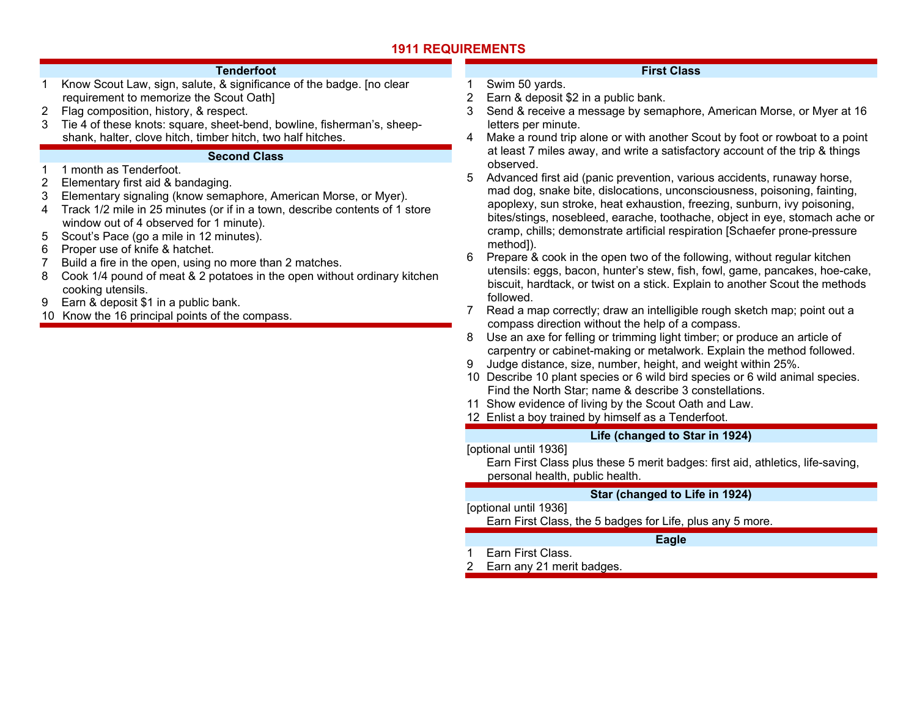### **Tenderfoot**

- 1 Know Scout Law, sign, salute, & significance of the badge. [no clear requirement to memorize the Scout Oath]
- 2 Flag composition, history, & respect.
- 3 Tie 4 of these knots: square, sheet-bend, bowline, fisherman's, sheepshank, halter, clove hitch, timber hitch, two half hitches.

### **Second Class**

- 1 1 month as Tenderfoot.
- 2 Elementary first aid & bandaging.
- 3 Elementary signaling (know semaphore, American Morse, or Myer).
- 4 Track 1/2 mile in 25 minutes (or if in a town, describe contents of 1 store window out of 4 observed for 1 minute).
- 5 Scout's Pace (go a mile in 12 minutes).
- 6 Proper use of knife & hatchet.
- 7 Build a fire in the open, using no more than 2 matches.
- 8 Cook 1/4 pound of meat & 2 potatoes in the open without ordinary kitchen cooking utensils.
- 9 Earn & deposit \$1 in a public bank.
- 10 Know the 16 principal points of the compass.

### **First Class**

- 1 Swim 50 yards. 2 Earn & deposit \$2 in a public bank.
- 3 Send & receive a message by semaphore, American Morse, or Myer at 16 letters per minute.
- 4 Make a round trip alone or with another Scout by foot or rowboat to a point at least 7 miles away, and write a satisfactory account of the trip & things observed.
- 5 Advanced first aid (panic prevention, various accidents, runaway horse, mad dog, snake bite, dislocations, unconsciousness, poisoning, fainting, apoplexy, sun stroke, heat exhaustion, freezing, sunburn, ivy poisoning, bites/stings, nosebleed, earache, toothache, object in eye, stomach ache or cramp, chills; demonstrate artificial respiration [Schaefer prone-pressure method]).
- 6 Prepare & cook in the open two of the following, without regular kitchen utensils: eggs, bacon, hunter's stew, fish, fowl, game, pancakes, hoe-cake, biscuit, hardtack, or twist on a stick. Explain to another Scout the methods followed.
- 7 Read a map correctly; draw an intelligible rough sketch map; point out a compass direction without the help of a compass.
- 8 Use an axe for felling or trimming light timber; or produce an article of carpentry or cabinet-making or metalwork. Explain the method followed.
- 9 Judge distance, size, number, height, and weight within 25%.
- 10 Describe 10 plant species or 6 wild bird species or 6 wild animal species. Find the North Star; name & describe 3 constellations.
- 11 Show evidence of living by the Scout Oath and Law.
- 12 Enlist a boy trained by himself as a Tenderfoot.

### **Life (changed to Star in 1924)**

[optional until 1936]

 Earn First Class plus these 5 merit badges: first aid, athletics, life-saving, personal health, public health.

### **Star (changed to Life in 1924)**

[optional until 1936]

Earn First Class, the 5 badges for Life, plus any 5 more.

### **Eagle**

- Earn First Class.
- 2 Earn any 21 merit badges.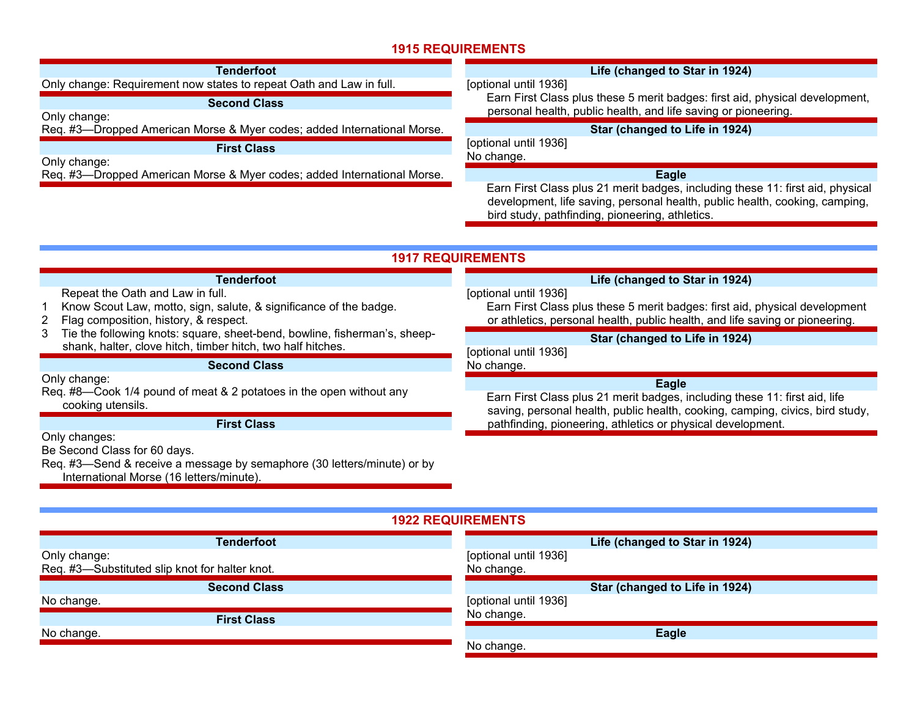| Tenderfoot                                                              | Life (changed to Star in 1924)                                                                                                                                                                                   |
|-------------------------------------------------------------------------|------------------------------------------------------------------------------------------------------------------------------------------------------------------------------------------------------------------|
| Only change: Requirement now states to repeat Oath and Law in full.     | [optional until 1936]                                                                                                                                                                                            |
| <b>Second Class</b><br>Only change:                                     | Earn First Class plus these 5 merit badges: first aid, physical development,<br>personal health, public health, and life saving or pioneering.                                                                   |
| Req. #3-Dropped American Morse & Myer codes; added International Morse. | Star (changed to Life in 1924)                                                                                                                                                                                   |
| <b>First Class</b><br>Only change:                                      | [optional until 1936]<br>No change.                                                                                                                                                                              |
| Req. #3-Dropped American Morse & Myer codes; added International Morse. | Eagle                                                                                                                                                                                                            |
|                                                                         | Earn First Class plus 21 merit badges, including these 11: first aid, physical<br>development, life saving, personal health, public health, cooking, camping,<br>bird study, pathfinding, pioneering, athletics. |

## **1917 REQUIREMENTS**

#### **Tenderfoot** Repeat the Oath and Law in full. 1 Know Scout Law, motto, sign, salute, & significance of the badge. 2 Flag composition, history, & respect. 3 Tie the following knots: square, sheet-bend, bowline, fisherman's, sheepshank, halter, clove hitch, timber hitch, two half hitches. **Second Class** Only change: Req. #8—Cook 1/4 pound of meat & 2 potatoes in the open without any cooking utensils. **First Class** Only changes: Be Second Class for 60 days. Req. #3—Send & receive a message by semaphore (30 letters/minute) or by **Life (changed to Star in 1924)**  [optional until 1936] Earn First Class plus these 5 merit badges: first aid, physical development or athletics, personal health, public health, and life saving or pioneering. **Star (changed to Life in 1924)**  [optional until 1936] No change. **Eagle**  Earn First Class plus 21 merit badges, including these 11: first aid, life saving, personal health, public health, cooking, camping, civics, bird study, pathfinding, pioneering, athletics or physical development.

**1922 REQUIREMENTS Tenderfoot**Only change: Req. #3—Substituted slip knot for halter knot. **Second Class** No change. **First Class** No change. **Life (changed to Star in 1924)**  [optional until 1936] No change. **Star (changed to Life in 1924)**  [optional until 1936] No change. **Eagle**  No change.

International Morse (16 letters/minute).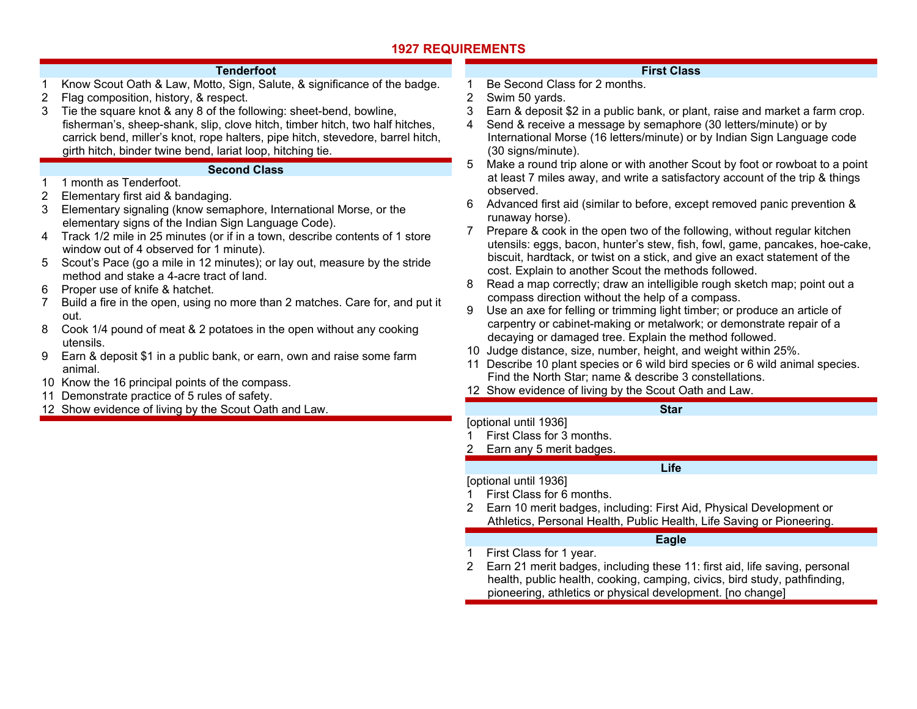### **Tenderfoot**

- 1 Know Scout Oath & Law, Motto, Sign, Salute, & significance of the badge. 2 Flag composition, history, & respect.
- 3 Tie the square knot & any 8 of the following: sheet-bend, bowline, fisherman's, sheep-shank, slip, clove hitch, timber hitch, two half hitches, carrick bend, miller's knot, rope halters, pipe hitch, stevedore, barrel hitch, girth hitch, binder twine bend, lariat loop, hitching tie.

### **Second Class**

### 1 1 month as Tenderfoot.

- 2 Elementary first aid & bandaging.
- 3 Elementary signaling (know semaphore, International Morse, or the elementary signs of the Indian Sign Language Code).
- 4 Track 1/2 mile in 25 minutes (or if in a town, describe contents of 1 store window out of 4 observed for 1 minute).
- 5 Scout's Pace (go a mile in 12 minutes); or lay out, measure by the stride method and stake a 4-acre tract of land.
- 6 Proper use of knife & hatchet.
- 7 Build a fire in the open, using no more than 2 matches. Care for, and put it out.
- 8 Cook 1/4 pound of meat & 2 potatoes in the open without any cooking utensils.
- 9 Earn & deposit \$1 in a public bank, or earn, own and raise some farm animal.
- 10 Know the 16 principal points of the compass.
- 11 Demonstrate practice of 5 rules of safety.
- 12 Show evidence of living by the Scout Oath and Law.

## **First Class**

- 1 Be Second Class for 2 months.
- 2 Swim 50 yards.
- 3 Earn & deposit \$2 in a public bank, or plant, raise and market a farm crop.
- 4 Send & receive a message by semaphore (30 letters/minute) or by International Morse (16 letters/minute) or by Indian Sign Language code (30 signs/minute).
- 5 Make a round trip alone or with another Scout by foot or rowboat to a point at least 7 miles away, and write a satisfactory account of the trip & things observed.
- 6 Advanced first aid (similar to before, except removed panic prevention & runaway horse).
- 7 Prepare & cook in the open two of the following, without regular kitchen utensils: eggs, bacon, hunter's stew, fish, fowl, game, pancakes, hoe-cake, biscuit, hardtack, or twist on a stick, and give an exact statement of the cost. Explain to another Scout the methods followed.
- 8 Read a map correctly; draw an intelligible rough sketch map; point out a compass direction without the help of a compass.
- 9 Use an axe for felling or trimming light timber; or produce an article of carpentry or cabinet-making or metalwork; or demonstrate repair of a decaying or damaged tree. Explain the method followed.
- 10 Judge distance, size, number, height, and weight within 25%.
- 11 Describe 10 plant species or 6 wild bird species or 6 wild animal species. Find the North Star; name & describe 3 constellations.
- 12 Show evidence of living by the Scout Oath and Law.

## **Star**

## [optional until 1936]

- 1 First Class for 3 months.
- 2 Earn any 5 merit badges.

### **Life**

[optional until 1936]

- 1 First Class for 6 months.
- 2 Earn 10 merit badges, including: First Aid, Physical Development or Athletics, Personal Health, Public Health, Life Saving or Pioneering.

## **Eagle**

- 1 First Class for 1 year.
- 2 Earn 21 merit badges, including these 11: first aid, life saving, personal health, public health, cooking, camping, civics, bird study, pathfinding, pioneering, athletics or physical development. [no change]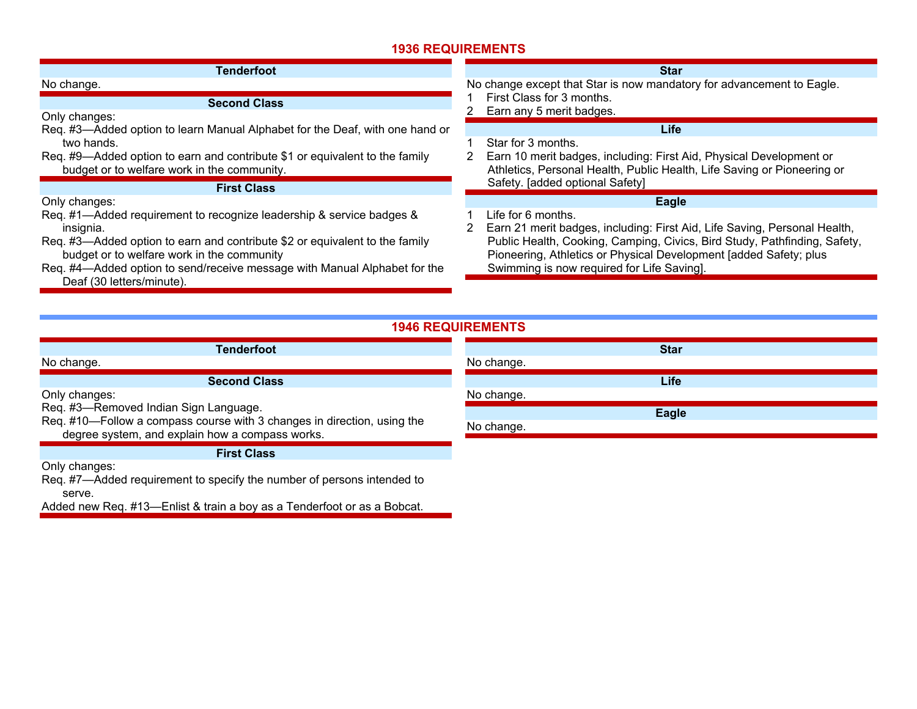| Tenderfoot                                                                                                                                                                                                                                       | <b>Star</b>                                                                                                                                                                                                                                                               |
|--------------------------------------------------------------------------------------------------------------------------------------------------------------------------------------------------------------------------------------------------|---------------------------------------------------------------------------------------------------------------------------------------------------------------------------------------------------------------------------------------------------------------------------|
| No change.                                                                                                                                                                                                                                       | No change except that Star is now mandatory for advancement to Eagle.                                                                                                                                                                                                     |
| <b>Second Class</b><br>Only changes:                                                                                                                                                                                                             | First Class for 3 months.<br>Earn any 5 merit badges.                                                                                                                                                                                                                     |
| Req. #3—Added option to learn Manual Alphabet for the Deaf, with one hand or<br>two hands.<br>Req. #9—Added option to earn and contribute \$1 or equivalent to the family<br>budget or to welfare work in the community.                         | <b>Life</b><br>Star for 3 months.<br>Earn 10 merit badges, including: First Aid, Physical Development or<br>Athletics, Personal Health, Public Health, Life Saving or Pioneering or                                                                                       |
| <b>First Class</b>                                                                                                                                                                                                                               | Safety. [added optional Safety]                                                                                                                                                                                                                                           |
| Only changes:<br>Req. #1-Added requirement to recognize leadership & service badges &                                                                                                                                                            | Eagle<br>Life for 6 months.                                                                                                                                                                                                                                               |
| insignia.<br>Req. #3—Added option to earn and contribute \$2 or equivalent to the family<br>budget or to welfare work in the community<br>Req. #4—Added option to send/receive message with Manual Alphabet for the<br>Deaf (30 letters/minute). | Earn 21 merit badges, including: First Aid, Life Saving, Personal Health,<br>Public Health, Cooking, Camping, Civics, Bird Study, Pathfinding, Safety,<br>Pioneering, Athletics or Physical Development [added Safety; plus<br>Swimming is now required for Life Saving]. |

| <b>Tenderfoot</b>                                                                                                                                                   | <b>Star</b>  |
|---------------------------------------------------------------------------------------------------------------------------------------------------------------------|--------------|
| No change.                                                                                                                                                          | No change.   |
| <b>Second Class</b>                                                                                                                                                 | Life         |
| Only changes:                                                                                                                                                       | No change.   |
| Req. #3-Removed Indian Sign Language.<br>Req. #10-Follow a compass course with 3 changes in direction, using the<br>degree system, and explain how a compass works. | <b>Eagle</b> |
|                                                                                                                                                                     | No change.   |
|                                                                                                                                                                     |              |
| <b>First Class</b>                                                                                                                                                  |              |
| Only changes:                                                                                                                                                       |              |

Req. #7—Added requirement to specify the number of persons intended to serve.

Added new Req. #13—Enlist & train a boy as a Tenderfoot or as a Bobcat.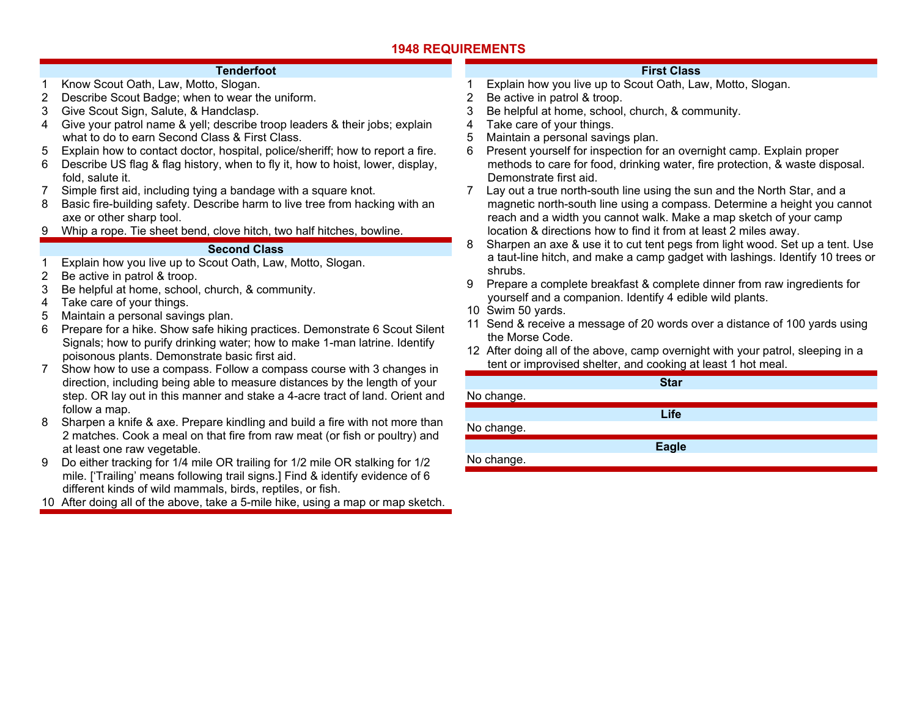#### **Tenderfoot**

- 1 Know Scout Oath, Law, Motto, Slogan.
- 2 Describe Scout Badge; when to wear the uniform.
- 3 Give Scout Sign, Salute, & Handclasp.
- 4 Give your patrol name & yell; describe troop leaders & their jobs; explain what to do to earn Second Class & First Class.
- 5 Explain how to contact doctor, hospital, police/sheriff; how to report a fire.
- 6 Describe US flag & flag history, when to fly it, how to hoist, lower, display, fold, salute it.
- 7 Simple first aid, including tying a bandage with a square knot.
- 8 Basic fire-building safety. Describe harm to live tree from hacking with an axe or other sharp tool.
- 9 Whip a rope. Tie sheet bend, clove hitch, two half hitches, bowline.

### **Second Class**

- 1 Explain how you live up to Scout Oath, Law, Motto, Slogan.
- 2 Be active in patrol & troop.
- 3 Be helpful at home, school, church, & community.
- 4 Take care of your things.
- 5 Maintain a personal savings plan.
- 6 Prepare for a hike. Show safe hiking practices. Demonstrate 6 Scout Silent Signals; how to purify drinking water; how to make 1-man latrine. Identify poisonous plants. Demonstrate basic first aid.
- 7 Show how to use a compass. Follow a compass course with 3 changes in direction, including being able to measure distances by the length of your step. OR lay out in this manner and stake a 4-acre tract of land. Orient and follow a map.
- 8 Sharpen a knife & axe. Prepare kindling and build a fire with not more than 2 matches. Cook a meal on that fire from raw meat (or fish or poultry) and at least one raw vegetable.
- 9 Do either tracking for 1/4 mile OR trailing for 1/2 mile OR stalking for 1/2 mile. ['Trailing' means following trail signs.] Find & identify evidence of 6 different kinds of wild mammals, birds, reptiles, or fish.
- 10 After doing all of the above, take a 5-mile hike, using a map or map sketch.

### **First Class**

- 1 Explain how you live up to Scout Oath, Law, Motto, Slogan.
- 2 Be active in patrol & troop.
- 3 Be helpful at home, school, church, & community.
- 4 Take care of your things.
- 5 Maintain a personal savings plan.
- 6 Present yourself for inspection for an overnight camp. Explain proper methods to care for food, drinking water, fire protection, & waste disposal. Demonstrate first aid.
- 7 Lay out a true north-south line using the sun and the North Star, and a magnetic north-south line using a compass. Determine a height you cannot reach and a width you cannot walk. Make a map sketch of your camp location & directions how to find it from at least 2 miles away.
- 8 Sharpen an axe & use it to cut tent pegs from light wood. Set up a tent. Use a taut-line hitch, and make a camp gadget with lashings. Identify 10 trees or shrubs.
- 9 Prepare a complete breakfast & complete dinner from raw ingredients for yourself and a companion. Identify 4 edible wild plants.
- 10 Swim 50 yards.
- 11 Send & receive a message of 20 words over a distance of 100 yards using the Morse Code.
- 12 After doing all of the above, camp overnight with your patrol, sleeping in a tent or improvised shelter, and cooking at least 1 hot meal.

|            | <b>Star</b>  |  |
|------------|--------------|--|
| No change. |              |  |
|            | Life         |  |
| No change. |              |  |
|            | <b>Eagle</b> |  |
| No change. |              |  |
|            |              |  |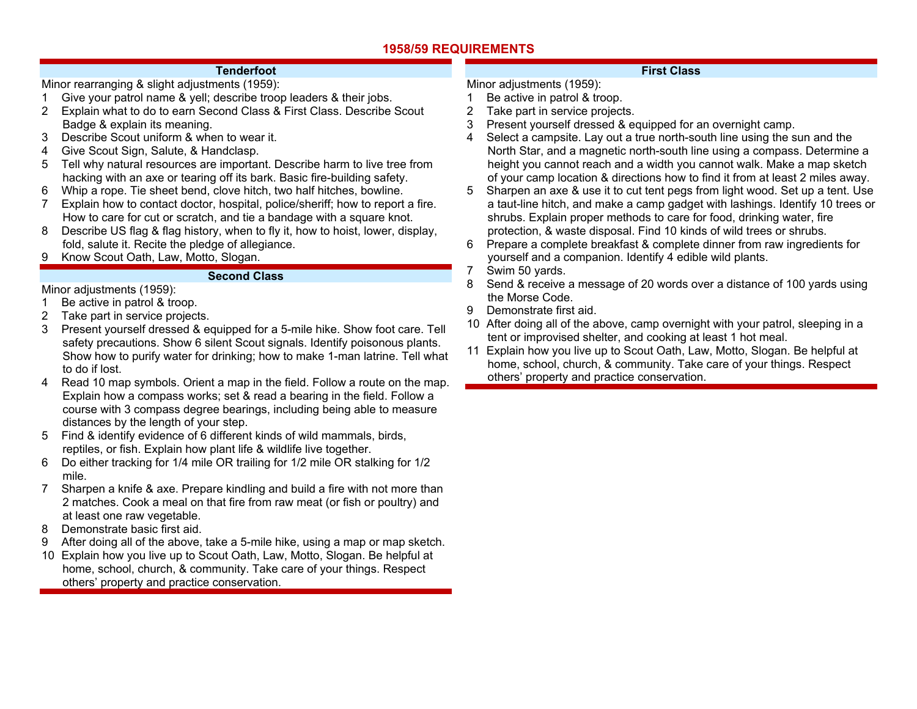### **Tenderfoot**

Minor rearranging & slight adjustments (1959):

- 1 Give your patrol name & yell; describe troop leaders & their jobs.
- 2 Explain what to do to earn Second Class & First Class. Describe Scout Badge & explain its meaning.
- 3 Describe Scout uniform & when to wear it.
- 4 Give Scout Sign, Salute, & Handclasp.
- 5 Tell why natural resources are important. Describe harm to live tree from hacking with an axe or tearing off its bark. Basic fire-building safety.
- 6 Whip a rope. Tie sheet bend, clove hitch, two half hitches, bowline.
- 7 Explain how to contact doctor, hospital, police/sheriff; how to report a fire. How to care for cut or scratch, and tie a bandage with a square knot.
- 8 Describe US flag & flag history, when to fly it, how to hoist, lower, display, fold, salute it. Recite the pledge of allegiance.
- 9 Know Scout Oath, Law, Motto, Slogan.

### **Second Class**

Minor adiustments (1959):

- 1 Be active in patrol & troop.
- 2 Take part in service projects.
- 3 Present yourself dressed & equipped for a 5-mile hike. Show foot care. Tell safety precautions. Show 6 silent Scout signals. Identify poisonous plants. Show how to purify water for drinking; how to make 1-man latrine. Tell what to do if lost.
- 4 Read 10 map symbols. Orient a map in the field. Follow a route on the map. Explain how a compass works; set & read a bearing in the field. Follow a course with 3 compass degree bearings, including being able to measure distances by the length of your step.
- 5 Find & identify evidence of 6 different kinds of wild mammals, birds, reptiles, or fish. Explain how plant life & wildlife live together.
- 6 Do either tracking for 1/4 mile OR trailing for 1/2 mile OR stalking for 1/2 mile.
- 7 Sharpen a knife & axe. Prepare kindling and build a fire with not more than 2 matches. Cook a meal on that fire from raw meat (or fish or poultry) and at least one raw vegetable.
- 8 Demonstrate basic first aid.
- 9 After doing all of the above, take a 5-mile hike, using a map or map sketch.
- 10 Explain how you live up to Scout Oath, Law, Motto, Slogan. Be helpful at home, school, church, & community. Take care of your things. Respect others' property and practice conservation.

## **First Class**

- Minor adjustments (1959): 1 Be active in patrol & troop.
- 2 Take part in service projects.
- 3 Present yourself dressed & equipped for an overnight camp.
- 4 Select a campsite. Lay out a true north-south line using the sun and the North Star, and a magnetic north-south line using a compass. Determine a height you cannot reach and a width you cannot walk. Make a map sketch of your camp location & directions how to find it from at least 2 miles away.
- 5 Sharpen an axe & use it to cut tent pegs from light wood. Set up a tent. Use a taut-line hitch, and make a camp gadget with lashings. Identify 10 trees or shrubs. Explain proper methods to care for food, drinking water, fire protection, & waste disposal. Find 10 kinds of wild trees or shrubs.
- 6 Prepare a complete breakfast & complete dinner from raw ingredients for yourself and a companion. Identify 4 edible wild plants.
- 7 Swim 50 yards.
- 8 Send & receive a message of 20 words over a distance of 100 yards using the Morse Code.
- 9 Demonstrate first aid.
- 10 After doing all of the above, camp overnight with your patrol, sleeping in a tent or improvised shelter, and cooking at least 1 hot meal.
- 11 Explain how you live up to Scout Oath, Law, Motto, Slogan. Be helpful at home, school, church, & community. Take care of your things. Respect others' property and practice conservation.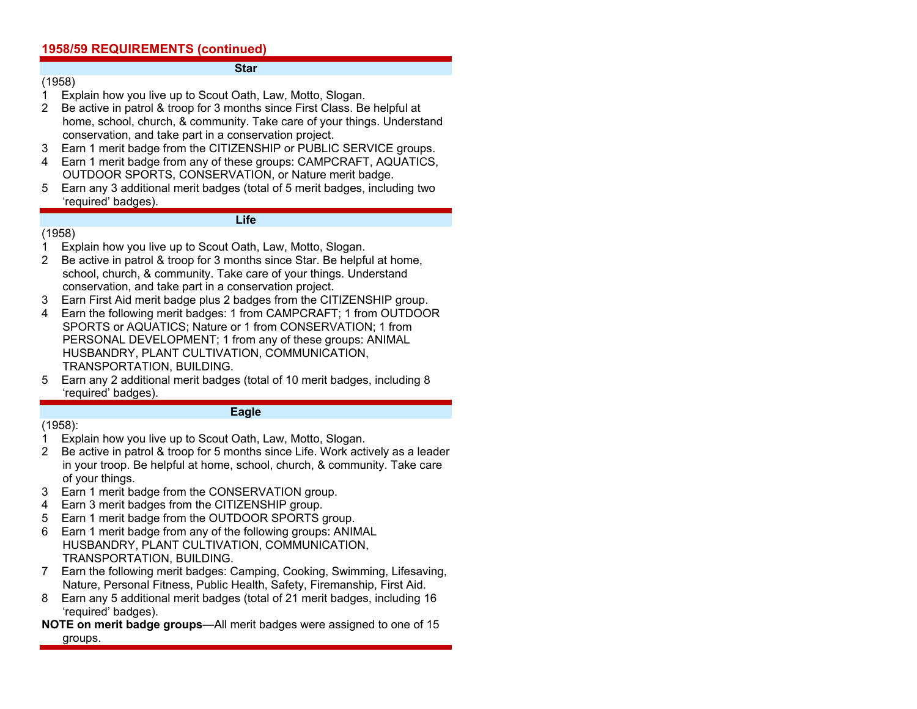#### **Star**

- (1958)
- 1 Explain how you live up to Scout Oath, Law, Motto, Slogan.
- 2 Be active in patrol & troop for 3 months since First Class. Be helpful at home, school, church, & community. Take care of your things. Understand conservation, and take part in a conservation project.
- 3 Earn 1 merit badge from the CITIZENSHIP or PUBLIC SERVICE groups.
- 4 Earn 1 merit badge from any of these groups: CAMPCRAFT, AQUATICS, OUTDOOR SPORTS, CONSERVATION, or Nature merit badge.
- 5 Earn any 3 additional merit badges (total of 5 merit badges, including two 'required' badges).

### **Life**

### (1958)

- 1 Explain how you live up to Scout Oath, Law, Motto, Slogan.
- 2 Be active in patrol & troop for 3 months since Star. Be helpful at home, school, church, & community. Take care of your things. Understand conservation, and take part in a conservation project.
- 3 Earn First Aid merit badge plus 2 badges from the CITIZENSHIP group.
- 4 Earn the following merit badges: 1 from CAMPCRAFT; 1 from OUTDOOR SPORTS or AQUATICS; Nature or 1 from CONSERVATION; 1 from PERSONAL DEVELOPMENT; 1 from any of these groups: ANIMAL HUSBANDRY, PLANT CULTIVATION, COMMUNICATION, TRANSPORTATION, BUILDING.
- 5 Earn any 2 additional merit badges (total of 10 merit badges, including 8 'required' badges).

#### **Eagle**

### (1958):

- 1 Explain how you live up to Scout Oath, Law, Motto, Slogan.
- 2 Be active in patrol & troop for 5 months since Life. Work actively as a leader in your troop. Be helpful at home, school, church, & community. Take care of your things.
- 3 Earn 1 merit badge from the CONSERVATION group.
- 4 Earn 3 merit badges from the CITIZENSHIP group.
- 5 Earn 1 merit badge from the OUTDOOR SPORTS group.
- 6 Earn 1 merit badge from any of the following groups: ANIMAL HUSBANDRY, PLANT CULTIVATION, COMMUNICATION, TRANSPORTATION, BUILDING.
- 7 Earn the following merit badges: Camping, Cooking, Swimming, Lifesaving, Nature, Personal Fitness, Public Health, Safety, Firemanship, First Aid.
- 8 Earn any 5 additional merit badges (total of 21 merit badges, including 16 'required' badges).
- **NOTE on merit badge groups**—All merit badges were assigned to one of 15 groups.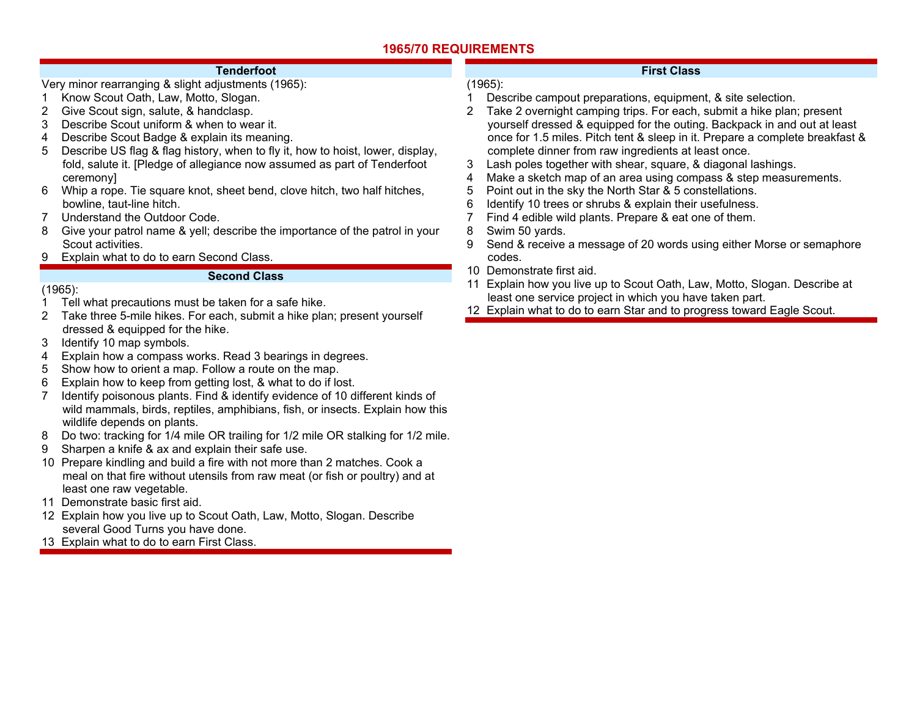## **1965/70 REQUIREMENTS**

### **Tenderfoot**

- Very minor rearranging & slight adjustments (1965):
- 1 Know Scout Oath, Law, Motto, Slogan.
- 2 Give Scout sign, salute, & handclasp.
- 3 Describe Scout uniform & when to wear it.
- 4 Describe Scout Badge & explain its meaning.
- 5 Describe US flag & flag history, when to fly it, how to hoist, lower, display, fold, salute it. [Pledge of allegiance now assumed as part of Tenderfoot ceremony]
- 6 Whip a rope. Tie square knot, sheet bend, clove hitch, two half hitches, bowline, taut-line hitch.
- 7 Understand the Outdoor Code.
- 8 Give your patrol name & yell; describe the importance of the patrol in your Scout activities.
- 9 Explain what to do to earn Second Class.

### **Second Class**

## (1965):

- 1 Tell what precautions must be taken for a safe hike.
- 2 Take three 5-mile hikes. For each, submit a hike plan; present yourself dressed & equipped for the hike.
- 3 Identify 10 map symbols.
- 4 Explain how a compass works. Read 3 bearings in degrees.
- 5 Show how to orient a map. Follow a route on the map.
- 6 Explain how to keep from getting lost, & what to do if lost.
- 7 Identify poisonous plants. Find & identify evidence of 10 different kinds of wild mammals, birds, reptiles, amphibians, fish, or insects. Explain how this wildlife depends on plants.
- 8 Do two: tracking for 1/4 mile OR trailing for 1/2 mile OR stalking for 1/2 mile.
- 9 Sharpen a knife & ax and explain their safe use.
- 10 Prepare kindling and build a fire with not more than 2 matches. Cook a meal on that fire without utensils from raw meat (or fish or poultry) and at least one raw vegetable.
- 11 Demonstrate basic first aid.
- 12 Explain how you live up to Scout Oath, Law, Motto, Slogan. Describe several Good Turns you have done.
- 13 Explain what to do to earn First Class.

## **First Class**

## (1965):

- 1 Describe campout preparations, equipment, & site selection.
- 2 Take 2 overnight camping trips. For each, submit a hike plan; present yourself dressed & equipped for the outing. Backpack in and out at least once for 1.5 miles. Pitch tent & sleep in it. Prepare a complete breakfast & complete dinner from raw ingredients at least once.
- 3 Lash poles together with shear, square, & diagonal lashings.
- 4 Make a sketch map of an area using compass & step measurements.
- 5 Point out in the sky the North Star & 5 constellations.
- 6 Identify 10 trees or shrubs & explain their usefulness.
- 7 Find 4 edible wild plants. Prepare & eat one of them.
- 8 Swim 50 yards.
- 9 Send & receive a message of 20 words using either Morse or semaphore codes.
- 10 Demonstrate first aid.
- 11 Explain how you live up to Scout Oath, Law, Motto, Slogan. Describe at least one service project in which you have taken part.
- 12 Explain what to do to earn Star and to progress toward Eagle Scout.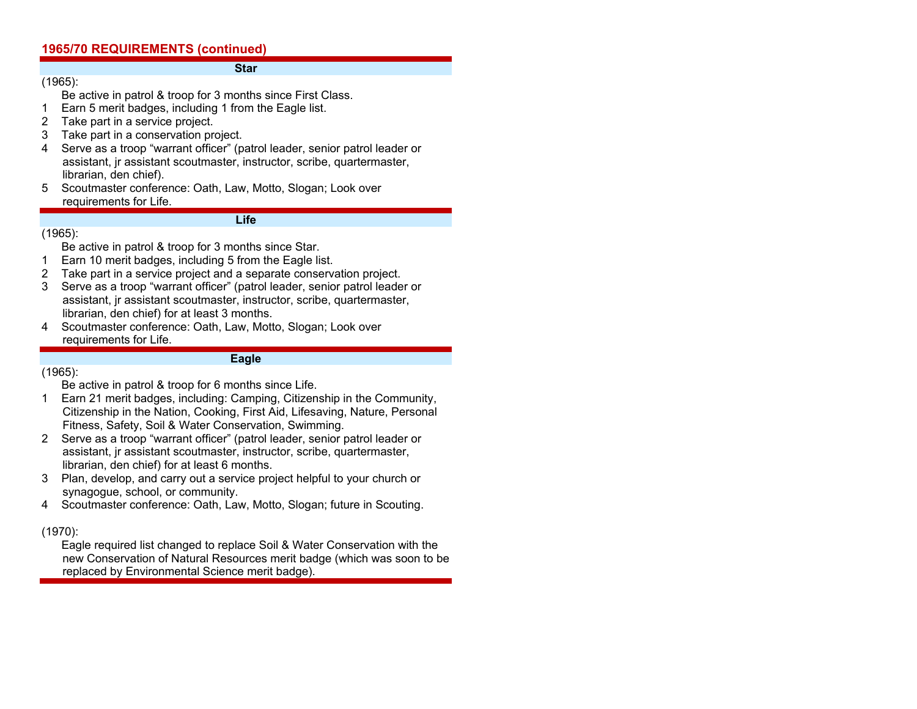#### **Star**

(1965): Be active in patrol & troop for 3 months since First Class.

- 1 Earn 5 merit badges, including 1 from the Eagle list.
- 2 Take part in a service project.
- 3 Take part in a conservation project.
- 4 Serve as a troop "warrant officer" (patrol leader, senior patrol leader or assistant, jr assistant scoutmaster, instructor, scribe, quartermaster, librarian, den chief).
- 5 Scoutmaster conference: Oath, Law, Motto, Slogan; Look over requirements for Life.

**Life** 

### (1965):

Be active in patrol & troop for 3 months since Star.

- 1 Earn 10 merit badges, including 5 from the Eagle list.
- 2 Take part in a service project and a separate conservation project.
- 3 Serve as a troop "warrant officer" (patrol leader, senior patrol leader or assistant, jr assistant scoutmaster, instructor, scribe, quartermaster, librarian, den chief) for at least 3 months.
- 4 Scoutmaster conference: Oath, Law, Motto, Slogan; Look over requirements for Life.

## **Eagle**

### (1965):

Be active in patrol & troop for 6 months since Life.

- 1 Earn 21 merit badges, including: Camping, Citizenship in the Community, Citizenship in the Nation, Cooking, First Aid, Lifesaving, Nature, Personal Fitness, Safety, Soil & Water Conservation, Swimming.
- 2 Serve as a troop "warrant officer" (patrol leader, senior patrol leader or assistant, jr assistant scoutmaster, instructor, scribe, quartermaster, librarian, den chief) for at least 6 months.
- 3 Plan, develop, and carry out a service project helpful to your church or synagogue, school, or community.
- 4 Scoutmaster conference: Oath, Law, Motto, Slogan; future in Scouting.

## (1970):

 Eagle required list changed to replace Soil & Water Conservation with the new Conservation of Natural Resources merit badge (which was soon to be replaced by Environmental Science merit badge).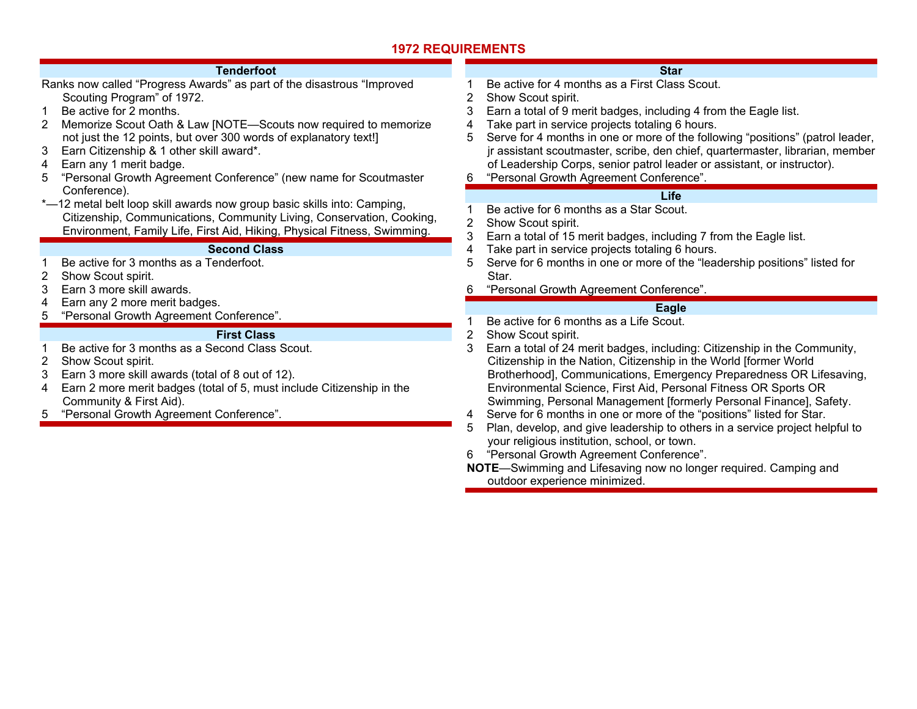| <b>Tenderfoot</b>                                                                                                                                                                                                                                                                                                                                                                                                                     | <b>Star</b>                                                                                                                                                                                                                                                                                                                                                                                                                                                                                                                                                                                                       |
|---------------------------------------------------------------------------------------------------------------------------------------------------------------------------------------------------------------------------------------------------------------------------------------------------------------------------------------------------------------------------------------------------------------------------------------|-------------------------------------------------------------------------------------------------------------------------------------------------------------------------------------------------------------------------------------------------------------------------------------------------------------------------------------------------------------------------------------------------------------------------------------------------------------------------------------------------------------------------------------------------------------------------------------------------------------------|
| Ranks now called "Progress Awards" as part of the disastrous "Improved<br>Scouting Program" of 1972.<br>Be active for 2 months.<br>Memorize Scout Oath & Law [NOTE-Scouts now required to memorize<br>2<br>not just the 12 points, but over 300 words of explanatory text!]<br>Earn Citizenship & 1 other skill award*.<br>3<br>Earn any 1 merit badge.<br>4<br>"Personal Growth Agreement Conference" (new name for Scoutmaster<br>5 | Be active for 4 months as a First Class Scout.<br>Show Scout spirit.<br>3<br>Earn a total of 9 merit badges, including 4 from the Eagle list.<br>Take part in service projects totaling 6 hours.<br>4<br>Serve for 4 months in one or more of the following "positions" (patrol leader,<br>5<br>jr assistant scoutmaster, scribe, den chief, quartermaster, librarian, member<br>of Leadership Corps, senior patrol leader or assistant, or instructor).<br>"Personal Growth Agreement Conference".<br>6                                                                                                          |
| Conference).                                                                                                                                                                                                                                                                                                                                                                                                                          | Life                                                                                                                                                                                                                                                                                                                                                                                                                                                                                                                                                                                                              |
| *-12 metal belt loop skill awards now group basic skills into: Camping,<br>Citizenship, Communications, Community Living, Conservation, Cooking,<br>Environment, Family Life, First Aid, Hiking, Physical Fitness, Swimming.                                                                                                                                                                                                          | Be active for 6 months as a Star Scout.<br>Show Scout spirit.<br>3<br>Earn a total of 15 merit badges, including 7 from the Eagle list.                                                                                                                                                                                                                                                                                                                                                                                                                                                                           |
| <b>Second Class</b>                                                                                                                                                                                                                                                                                                                                                                                                                   | Take part in service projects totaling 6 hours.<br>4                                                                                                                                                                                                                                                                                                                                                                                                                                                                                                                                                              |
| Be active for 3 months as a Tenderfoot.<br>2<br>Show Scout spirit.<br>Earn 3 more skill awards.<br>3                                                                                                                                                                                                                                                                                                                                  | Serve for 6 months in one or more of the "leadership positions" listed for<br>5<br>Star.<br>"Personal Growth Agreement Conference".                                                                                                                                                                                                                                                                                                                                                                                                                                                                               |
| Earn any 2 more merit badges.<br>4                                                                                                                                                                                                                                                                                                                                                                                                    | Eagle                                                                                                                                                                                                                                                                                                                                                                                                                                                                                                                                                                                                             |
| "Personal Growth Agreement Conference".<br>5                                                                                                                                                                                                                                                                                                                                                                                          | Be active for 6 months as a Life Scout.                                                                                                                                                                                                                                                                                                                                                                                                                                                                                                                                                                           |
| <b>First Class</b><br>Be active for 3 months as a Second Class Scout.<br>Show Scout spirit.<br>2<br>3<br>Earn 3 more skill awards (total of 8 out of 12).<br>Earn 2 more merit badges (total of 5, must include Citizenship in the<br>4<br>Community & First Aid).<br>"Personal Growth Agreement Conference".<br>5                                                                                                                    | Show Scout spirit.<br>2<br>Earn a total of 24 merit badges, including: Citizenship in the Community,<br>3<br>Citizenship in the Nation, Citizenship in the World [former World<br>Brotherhood], Communications, Emergency Preparedness OR Lifesaving,<br>Environmental Science, First Aid, Personal Fitness OR Sports OR<br>Swimming, Personal Management [formerly Personal Finance], Safety.<br>Serve for 6 months in one or more of the "positions" listed for Star.<br>4<br>Plan, develop, and give leadership to others in a service project helpful to<br>5<br>your religious institution, school, or town. |

6 "Personal Growth Agreement Conference".

**NOTE**—Swimming and Lifesaving now no longer required. Camping and outdoor experience minimized.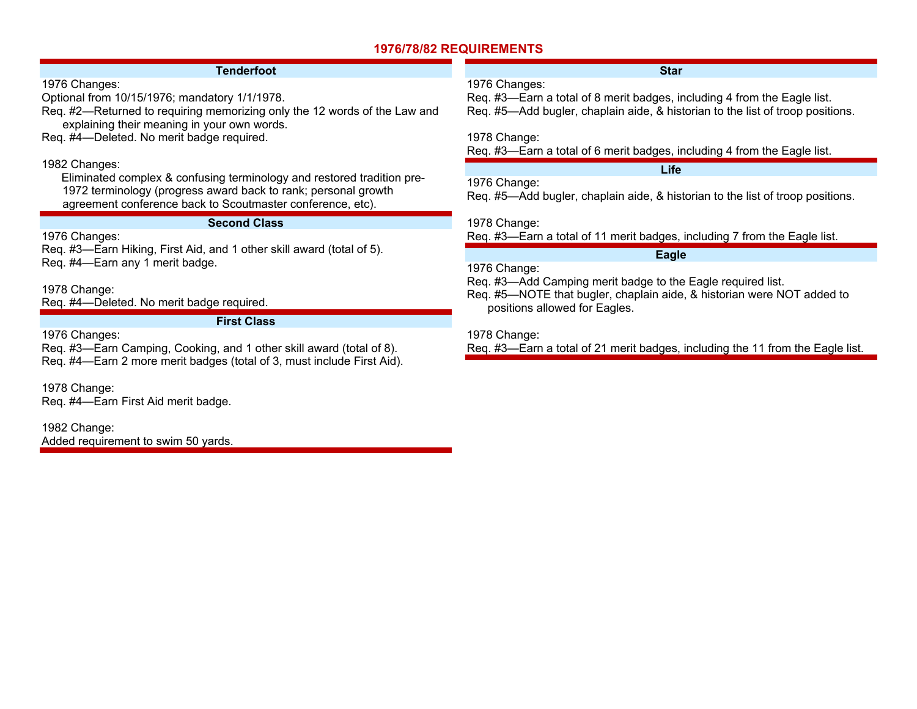## **1976/78/82 REQUIREMENTS**

### **Tenderfoot**

1976 Changes:

Optional from 10/15/1976; mandatory 1/1/1978.

Req. #2—Returned to requiring memorizing only the 12 words of the Law and explaining their meaning in your own words.

Req. #4—Deleted. No merit badge required.

### 1982 Changes:

 Eliminated complex & confusing terminology and restored tradition pre-1972 terminology (progress award back to rank; personal growth agreement conference back to Scoutmaster conference, etc).

### **Second Class**

**First Class** 

1976 Changes:

Req. #3—Earn Hiking, First Aid, and 1 other skill award (total of 5). Req. #4—Earn any 1 merit badge.

1978 Change:

Req. #4—Deleted. No merit badge required.

1976 Changes:

Req. #3—Earn Camping, Cooking, and 1 other skill award (total of 8). Req. #4—Earn 2 more merit badges (total of 3, must include First Aid).

1978 Change: Req. #4—Earn First Aid merit badge.

1982 Change: Added requirement to swim 50 yards.

### **Star**

### 1976 Changes:

Req. #3—Earn a total of 8 merit badges, including 4 from the Eagle list. Req. #5—Add bugler, chaplain aide, & historian to the list of troop positions.

1978 Change:

Req. #3—Earn a total of 6 merit badges, including 4 from the Eagle list.

**Life** 

1976 Change: Req. #5—Add bugler, chaplain aide, & historian to the list of troop positions.

1978 Change:

Req. #3—Earn a total of 11 merit badges, including 7 from the Eagle list.

## **Eagle**

1976 Change:

Req. #3—Add Camping merit badge to the Eagle required list.

Req. #5—NOTE that bugler, chaplain aide, & historian were NOT added to positions allowed for Eagles.

1978 Change:

Req. #3—Earn a total of 21 merit badges, including the 11 from the Eagle list.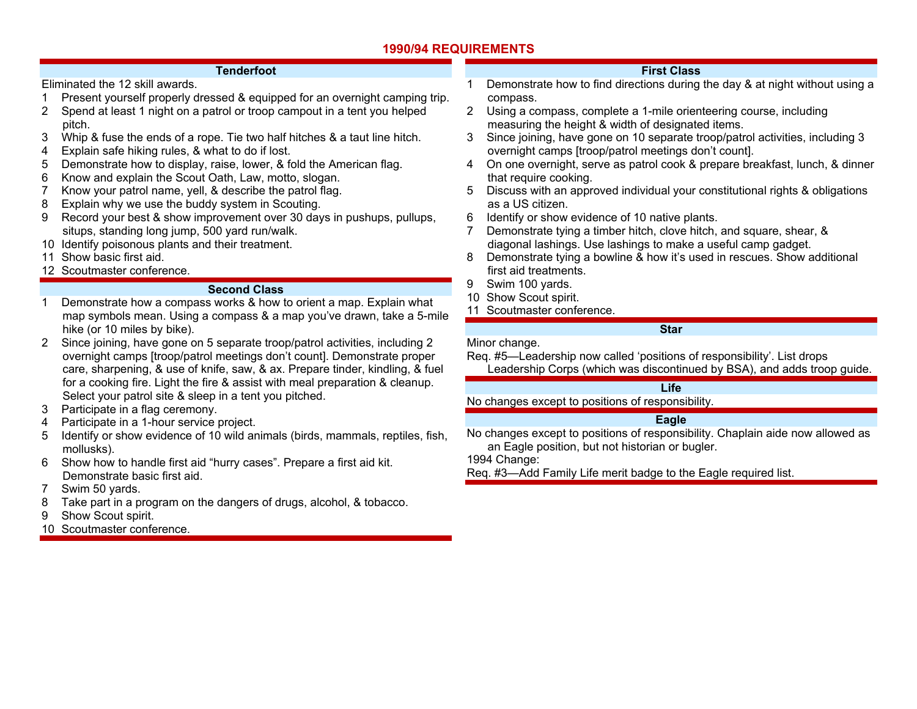### **1990/94 REQUIREMENTS**

#### **Tenderfoot**

Eliminated the 12 skill awards.

- 1 Present yourself properly dressed & equipped for an overnight camping trip.
- 2 Spend at least 1 night on a patrol or troop campout in a tent you helped pitch.
- 3 Whip & fuse the ends of a rope. Tie two half hitches & a taut line hitch.
- 4 Explain safe hiking rules, & what to do if lost.
- 5 Demonstrate how to display, raise, lower, & fold the American flag.
- 6 Know and explain the Scout Oath, Law, motto, slogan.
- 7 Know your patrol name, yell, & describe the patrol flag.
- 8 Explain why we use the buddy system in Scouting.
- 9 Record your best & show improvement over 30 days in pushups, pullups, situps, standing long jump, 500 yard run/walk.
- 10 Identify poisonous plants and their treatment.
- 11 Show basic first aid.
- 12 Scoutmaster conference.

### **Second Class**

- 1 Demonstrate how a compass works & how to orient a map. Explain what map symbols mean. Using a compass & a map you've drawn, take a 5-mile hike (or 10 miles by bike).
- 2 Since joining, have gone on 5 separate troop/patrol activities, including 2 overnight camps [troop/patrol meetings don't count]. Demonstrate proper care, sharpening, & use of knife, saw, & ax. Prepare tinder, kindling, & fuel for a cooking fire. Light the fire & assist with meal preparation & cleanup. Select your patrol site & sleep in a tent you pitched.
- 3 Participate in a flag ceremony.
- 4 Participate in a 1-hour service project.
- 5 Identify or show evidence of 10 wild animals (birds, mammals, reptiles, fish, mollusks).
- 6 Show how to handle first aid "hurry cases". Prepare a first aid kit. Demonstrate basic first aid.
- 7 Swim 50 yards.
- 8 Take part in a program on the dangers of drugs, alcohol, & tobacco.
- 9 Show Scout spirit.
- 10 Scoutmaster conference.

## **First Class**

- 1 Demonstrate how to find directions during the day & at night without using a compass.
- 2 Using a compass, complete a 1-mile orienteering course, including measuring the height & width of designated items.
- 3 Since joining, have gone on 10 separate troop/patrol activities, including 3 overnight camps [troop/patrol meetings don't count].
- 4 On one overnight, serve as patrol cook & prepare breakfast, lunch, & dinner that require cooking.
- 5 Discuss with an approved individual your constitutional rights & obligations as a US citizen.
- 6 Identify or show evidence of 10 native plants.
- 7 Demonstrate tying a timber hitch, clove hitch, and square, shear, & diagonal lashings. Use lashings to make a useful camp gadget.
- 8 Demonstrate tying a bowline & how it's used in rescues. Show additional first aid treatments.
- 9 Swim 100 yards.
- 10 Show Scout spirit.
- 11 Scoutmaster conference.

## **Star**

Minor change.

Req. #5—Leadership now called 'positions of responsibility'. List drops Leadership Corps (which was discontinued by BSA), and adds troop guide.

### **Life**

No changes except to positions of responsibility.

### **Eagle**

No changes except to positions of responsibility. Chaplain aide now allowed as an Eagle position, but not historian or bugler.

1994 Change:

Req. #3—Add Family Life merit badge to the Eagle required list.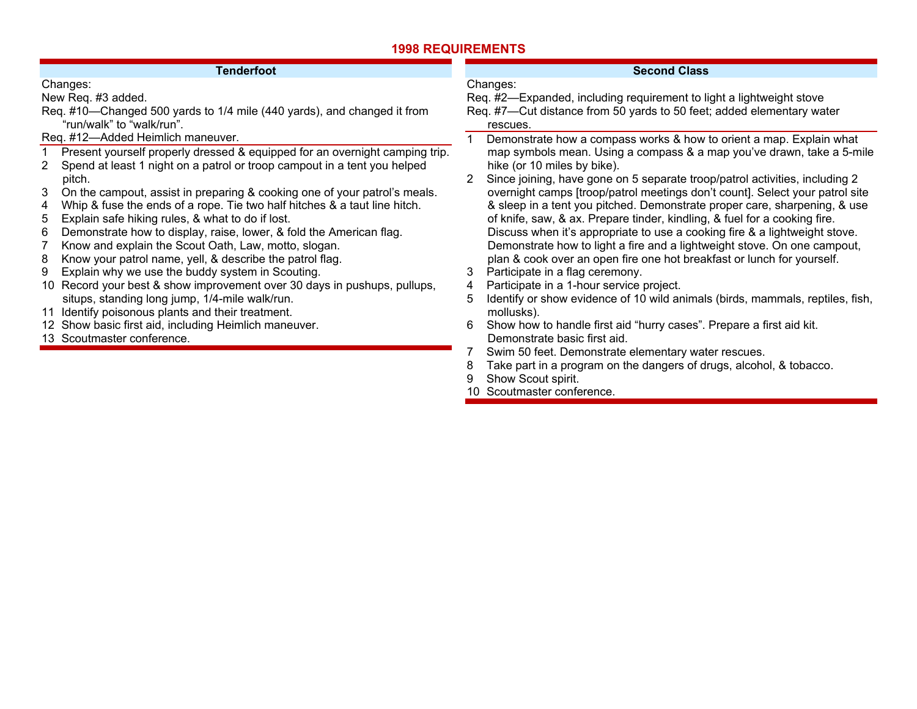| <b>Tenderfoot</b>                                                              | <b>Second Class</b>                                                                |  |
|--------------------------------------------------------------------------------|------------------------------------------------------------------------------------|--|
| Changes:                                                                       | Changes:                                                                           |  |
| New Req. #3 added.                                                             | Req. #2—Expanded, including requirement to light a lightweight stove               |  |
| Req. #10-Changed 500 yards to 1/4 mile (440 yards), and changed it from        | Req. #7—Cut distance from 50 yards to 50 feet; added elementary water              |  |
| "run/walk" to "walk/run".                                                      | rescues.                                                                           |  |
| Req. #12-Added Heimlich maneuver.                                              | Demonstrate how a compass works & how to orient a map. Explain what                |  |
| Present yourself properly dressed & equipped for an overnight camping trip.    | map symbols mean. Using a compass & a map you've drawn, take a 5-mile              |  |
| 2 Spend at least 1 night on a patrol or troop campout in a tent you helped     | hike (or 10 miles by bike).                                                        |  |
| pitch.                                                                         | Since joining, have gone on 5 separate troop/patrol activities, including 2<br>2   |  |
| 3<br>On the campout, assist in preparing & cooking one of your patrol's meals. | overnight camps [troop/patrol meetings don't count]. Select your patrol site       |  |
| Whip & fuse the ends of a rope. Tie two half hitches & a taut line hitch.<br>4 | & sleep in a tent you pitched. Demonstrate proper care, sharpening, & use          |  |
| Explain safe hiking rules, & what to do if lost.<br>5                          | of knife, saw, & ax. Prepare tinder, kindling, & fuel for a cooking fire.          |  |
| Demonstrate how to display, raise, lower, & fold the American flag.<br>6       | Discuss when it's appropriate to use a cooking fire & a lightweight stove.         |  |
| Know and explain the Scout Oath, Law, motto, slogan.                           | Demonstrate how to light a fire and a lightweight stove. On one campout,           |  |
| Know your patrol name, yell, & describe the patrol flag.<br>8                  | plan & cook over an open fire one hot breakfast or lunch for yourself.             |  |
| Explain why we use the buddy system in Scouting.<br>9                          | Participate in a flag ceremony.<br>3                                               |  |
| 10 Record your best & show improvement over 30 days in pushups, pullups,       | Participate in a 1-hour service project.<br>4                                      |  |
| situps, standing long jump, 1/4-mile walk/run.                                 | Identify or show evidence of 10 wild animals (birds, mammals, reptiles, fish,<br>5 |  |
| 11 Identify poisonous plants and their treatment.                              | mollusks).                                                                         |  |
| 12 Show basic first aid, including Heimlich maneuver.                          | Show how to handle first aid "hurry cases". Prepare a first aid kit.<br>6          |  |
| 13 Scoutmaster conference.                                                     | Demonstrate basic first aid.                                                       |  |
|                                                                                | Swim 50 feet. Demonstrate elementary water rescues.                                |  |
|                                                                                | Take part in a program on the dangers of drugs, alcohol, & tobacco.                |  |
|                                                                                | Show Scout spirit.                                                                 |  |
|                                                                                | 10 Scoutmaster conference.                                                         |  |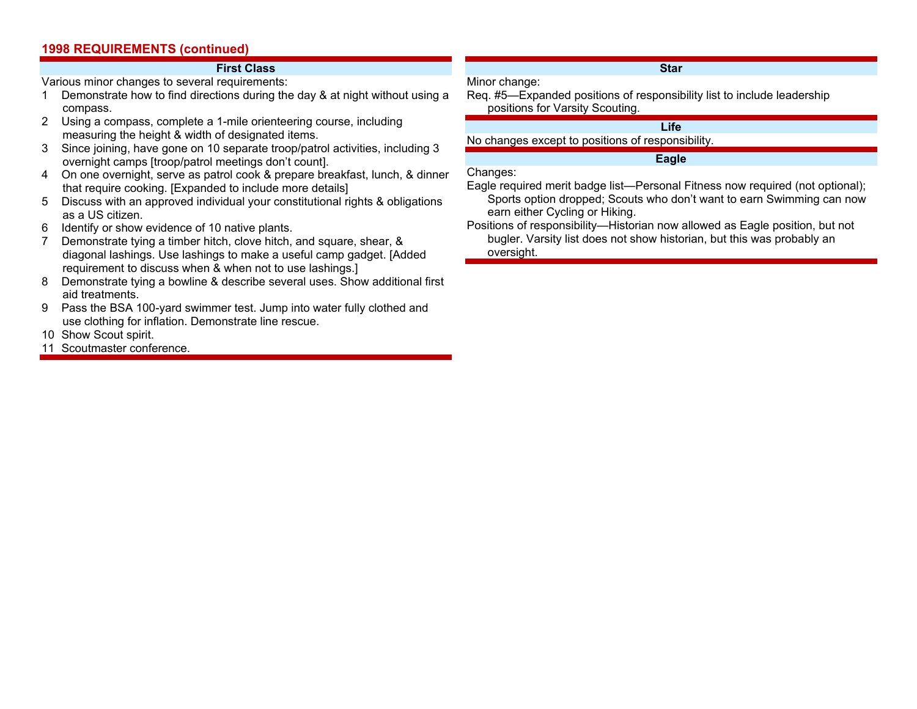#### **First Class**

Various minor changes to several requirements:

- 1 Demonstrate how to find directions during the day & at night without using a compass.
- 2 Using a compass, complete a 1-mile orienteering course, including measuring the height & width of designated items.
- 3 Since joining, have gone on 10 separate troop/patrol activities, including 3 overnight camps [troop/patrol meetings don't count].
- 4 On one overnight, serve as patrol cook & prepare breakfast, lunch, & dinner that require cooking. [Expanded to include more details]
- 5 Discuss with an approved individual your constitutional rights & obligations as a US citizen.
- 6 Identify or show evidence of 10 native plants.
- 7 Demonstrate tying a timber hitch, clove hitch, and square, shear, & diagonal lashings. Use lashings to make a useful camp gadget. [Added requirement to discuss when & when not to use lashings.]
- 8 Demonstrate tying a bowline & describe several uses. Show additional first aid treatments.
- 9 Pass the BSA 100-yard swimmer test. Jump into water fully clothed and use clothing for inflation. Demonstrate line rescue.
- 10 Show Scout spirit.
- 11 Scoutmaster conference.

### **Star**

Req. #5—Expanded positions of responsibility list to include leadership positions for Varsity Scouting.

## **Life**

No changes except to positions of responsibility.

### **Eagle**

Changes:

Minor change:

Eagle required merit badge list—Personal Fitness now required (not optional); Sports option dropped; Scouts who don't want to earn Swimming can now earn either Cycling or Hiking.

Positions of responsibility—Historian now allowed as Eagle position, but not bugler. Varsity list does not show historian, but this was probably an oversight.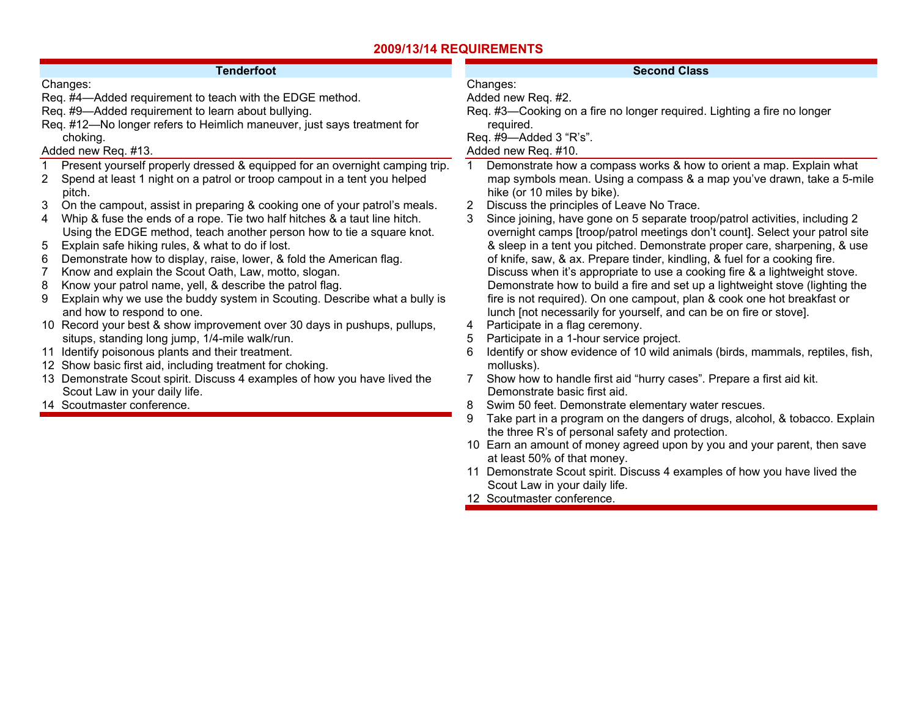## **2009/13/14 REQUIREMENTS**

| <b>Tenderfoot</b>                                                              | <b>Second Class</b>                                                                |
|--------------------------------------------------------------------------------|------------------------------------------------------------------------------------|
| Changes:                                                                       | Changes:                                                                           |
| Req. #4-Added requirement to teach with the EDGE method.                       | Added new Req. #2.                                                                 |
| Req. #9-Added requirement to learn about bullying.                             | Req. #3—Cooking on a fire no longer required. Lighting a fire no longer            |
| Req. #12-No longer refers to Heimlich maneuver, just says treatment for        | required.                                                                          |
| choking.                                                                       | Req. #9-Added 3 "R's".                                                             |
| Added new Req. #13.                                                            | Added new Req. #10.                                                                |
| Present yourself properly dressed & equipped for an overnight camping trip.    | Demonstrate how a compass works & how to orient a map. Explain what                |
| Spend at least 1 night on a patrol or troop campout in a tent you helped<br>2. | map symbols mean. Using a compass & a map you've drawn, take a 5-mile              |
| pitch.                                                                         | hike (or 10 miles by bike).                                                        |
| On the campout, assist in preparing & cooking one of your patrol's meals.<br>3 | Discuss the principles of Leave No Trace.<br>2                                     |
| Whip & fuse the ends of a rope. Tie two half hitches & a taut line hitch.<br>4 | Since joining, have gone on 5 separate troop/patrol activities, including 2<br>3   |
| Using the EDGE method, teach another person how to tie a square knot.          | overnight camps [troop/patrol meetings don't count]. Select your patrol site       |
| Explain safe hiking rules, & what to do if lost.<br>5                          | & sleep in a tent you pitched. Demonstrate proper care, sharpening, & use          |
| Demonstrate how to display, raise, lower, & fold the American flag.<br>6       | of knife, saw, & ax. Prepare tinder, kindling, & fuel for a cooking fire.          |
| Know and explain the Scout Oath, Law, motto, slogan.                           | Discuss when it's appropriate to use a cooking fire & a lightweight stove.         |
| Know your patrol name, yell, & describe the patrol flag.<br>8                  | Demonstrate how to build a fire and set up a lightweight stove (lighting the       |
| Explain why we use the buddy system in Scouting. Describe what a bully is<br>9 | fire is not required). On one campout, plan & cook one hot breakfast or            |
| and how to respond to one.                                                     | lunch [not necessarily for yourself, and can be on fire or stove].                 |
| 10 Record your best & show improvement over 30 days in pushups, pullups,       | Participate in a flag ceremony.<br>4                                               |
| situps, standing long jump, 1/4-mile walk/run.                                 | Participate in a 1-hour service project.<br>5                                      |
| 11 Identify poisonous plants and their treatment.                              | Identify or show evidence of 10 wild animals (birds, mammals, reptiles, fish,<br>6 |
| 12 Show basic first aid, including treatment for choking.                      | mollusks).                                                                         |
| 13 Demonstrate Scout spirit. Discuss 4 examples of how you have lived the      | Show how to handle first aid "hurry cases". Prepare a first aid kit.               |
| Scout Law in your daily life.                                                  | Demonstrate basic first aid.                                                       |
| 14 Scoutmaster conference.                                                     | Swim 50 feet. Demonstrate elementary water rescues.<br>8                           |
|                                                                                | 9<br>Take part in a program on the dangers of drugs, alcohol, & tobacco. Explain   |
|                                                                                | the three R's of personal safety and protection.                                   |
|                                                                                | 10 Earn an amount of money agreed upon by you and your parent, then save           |
|                                                                                | at least 50% of that money.                                                        |
|                                                                                | 11 Demonstrate Scout spirit. Discuss 4 examples of how you have lived the          |

- Scout Law in your daily life.
- 12 Scoutmaster conference.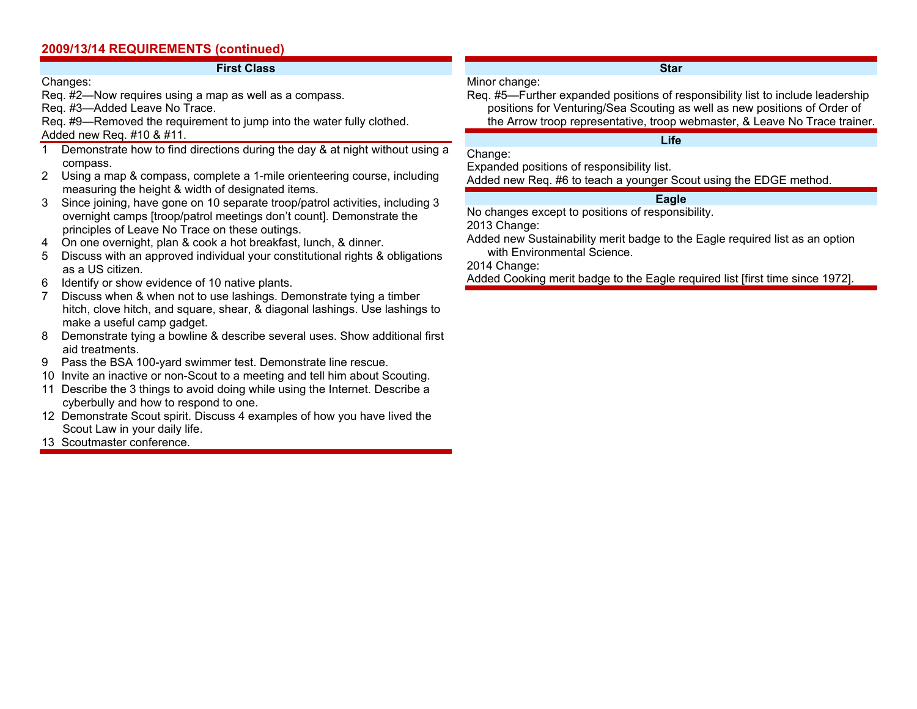## **2009/13/14 REQUIREMENTS (continued)**

### **First Class**

### Changes:

Req. #2—Now requires using a map as well as a compass.

Req. #3—Added Leave No Trace.

Req. #9—Removed the requirement to jump into the water fully clothed. Added new Req. #10 & #11.

- 1 Demonstrate how to find directions during the day & at night without using a compass.
- 2 Using a map & compass, complete a 1-mile orienteering course, including measuring the height & width of designated items.
- 3 Since joining, have gone on 10 separate troop/patrol activities, including 3 overnight camps [troop/patrol meetings don't count]. Demonstrate the principles of Leave No Trace on these outings.
- 4 On one overnight, plan & cook a hot breakfast, lunch, & dinner.
- 5 Discuss with an approved individual your constitutional rights & obligations as a US citizen.
- 6 Identify or show evidence of 10 native plants.
- 7 Discuss when & when not to use lashings. Demonstrate tying a timber hitch, clove hitch, and square, shear, & diagonal lashings. Use lashings to make a useful camp gadget.
- 8 Demonstrate tying a bowline & describe several uses. Show additional first aid treatments.
- 9 Pass the BSA 100-yard swimmer test. Demonstrate line rescue.
- 10 Invite an inactive or non-Scout to a meeting and tell him about Scouting.
- 11 Describe the 3 things to avoid doing while using the Internet. Describe a cyberbully and how to respond to one.
- 12 Demonstrate Scout spirit. Discuss 4 examples of how you have lived the Scout Law in your daily life.
- 13 Scoutmaster conference.

### **Star**

### Minor change:

Req. #5—Further expanded positions of responsibility list to include leadership positions for Venturing/Sea Scouting as well as new positions of Order of the Arrow troop representative, troop webmaster, & Leave No Trace trainer.

### **Life**

Change:

Expanded positions of responsibility list.

Added new Req. #6 to teach a younger Scout using the EDGE method.

## **Eagle**

No changes except to positions of responsibility.

2013 Change:

Added new Sustainability merit badge to the Eagle required list as an option with Environmental Science.

2014 Change:

Added Cooking merit badge to the Eagle required list [first time since 1972].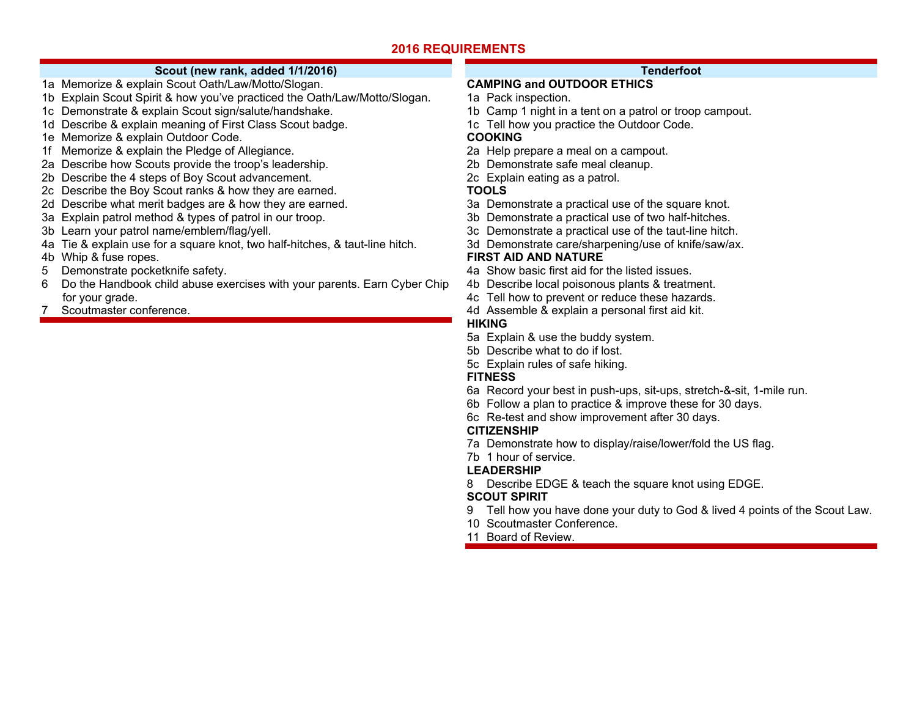## **Scout (new rank, added 1/1/2016)**

- 1a Memorize & explain Scout Oath/Law/Motto/Slogan.
- 1b Explain Scout Spirit & how you've practiced the Oath/Law/Motto/Slogan.
- 1c Demonstrate & explain Scout sign/salute/handshake.
- 1d Describe & explain meaning of First Class Scout badge.
- 1e Memorize & explain Outdoor Code.
- 1f Memorize & explain the Pledge of Allegiance.
- 2a Describe how Scouts provide the troop's leadership.
- 2b Describe the 4 steps of Boy Scout advancement.
- 2c Describe the Boy Scout ranks & how they are earned.
- 2d Describe what merit badges are & how they are earned.
- 3a Explain patrol method & types of patrol in our troop.
- 3b Learn your patrol name/emblem/flag/yell.
- 4a Tie & explain use for a square knot, two half-hitches, & taut-line hitch.
- 4b Whip & fuse ropes.
- 5 Demonstrate pocketknife safety.
- 6 Do the Handbook child abuse exercises with your parents. Earn Cyber Chip for your grade.
- 7 Scoutmaster conference.

### **Tenderfoot**

## **CAMPING and OUTDOOR ETHICS**

- 1a Pack inspection.
- 1b Camp 1 night in a tent on a patrol or troop campout.
- 1c Tell how you practice the Outdoor Code.

### **COOKING**

- 2a Help prepare a meal on a campout.
- 2b Demonstrate safe meal cleanup.
- 2c Explain eating as a patrol.

### **TOOLS**

- 3a Demonstrate a practical use of the square knot.
- 3b Demonstrate a practical use of two half-hitches.
- 3c Demonstrate a practical use of the taut-line hitch.
- 3d Demonstrate care/sharpening/use of knife/saw/ax.

### **FIRST AID AND NATURE**

- 4a Show basic first aid for the listed issues.
- 4b Describe local poisonous plants & treatment.
- 4c Tell how to prevent or reduce these hazards.
- 4d Assemble & explain a personal first aid kit.

## **HIKING**

- 5a Explain & use the buddy system.
- 5b Describe what to do if lost.
- 5c Explain rules of safe hiking.

## **FITNESS**

- 6a Record your best in push-ups, sit-ups, stretch-&-sit, 1-mile run.
- 6b Follow a plan to practice & improve these for 30 days.
- 6c Re-test and show improvement after 30 days.

### **CITIZENSHIP**

- 7a Demonstrate how to display/raise/lower/fold the US flag.
- 7b 1 hour of service.

## **LEADERSHIP**

8 Describe EDGE & teach the square knot using EDGE.

### **SCOUT SPIRIT**

- 9 Tell how you have done your duty to God & lived 4 points of the Scout Law.
- 10 Scoutmaster Conference.
- 11 Board of Review.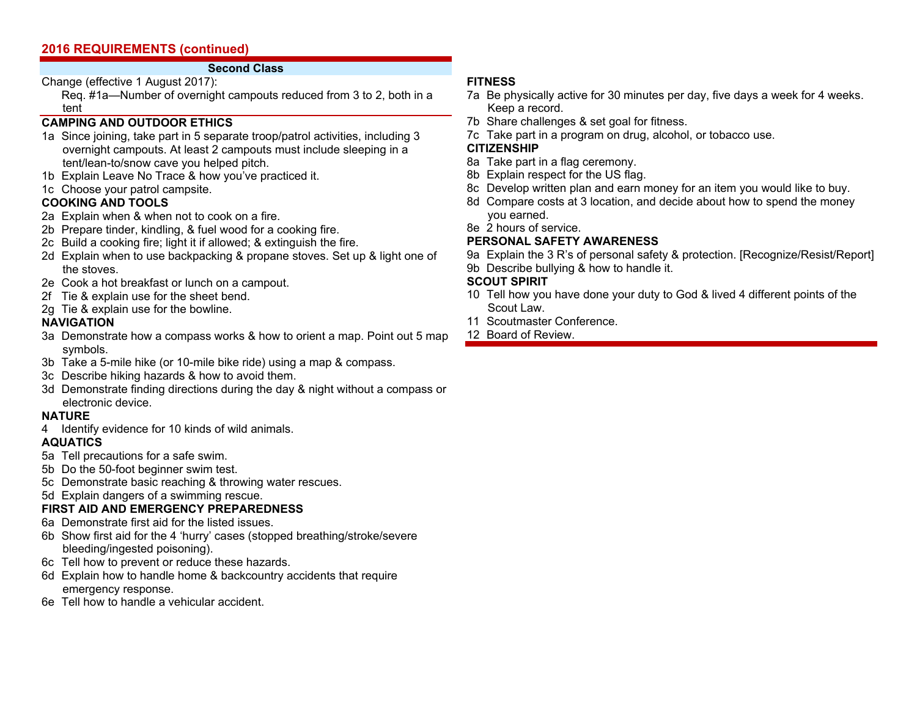### **Second Class**

Change (effective 1 August 2017):

 Req. #1a—Number of overnight campouts reduced from 3 to 2, both in a tent

## **CAMPING AND OUTDOOR ETHICS**

- 1a Since joining, take part in 5 separate troop/patrol activities, including 3 overnight campouts. At least 2 campouts must include sleeping in a tent/lean-to/snow cave you helped pitch.
- 1b Explain Leave No Trace & how you've practiced it.
- 1c Choose your patrol campsite.

## **COOKING AND TOOLS**

- 2a Explain when & when not to cook on a fire.
- 2b Prepare tinder, kindling, & fuel wood for a cooking fire.
- 2c Build a cooking fire; light it if allowed; & extinguish the fire.
- 2d Explain when to use backpacking & propane stoves. Set up & light one of the stoves.
- 2e Cook a hot breakfast or lunch on a campout.
- 2f Tie & explain use for the sheet bend.
- 2g Tie & explain use for the bowline.

## **NAVIGATION**

- 3a Demonstrate how a compass works & how to orient a map. Point out 5 map symbols.
- 3b Take a 5-mile hike (or 10-mile bike ride) using a map & compass.
- 3c Describe hiking hazards & how to avoid them.
- 3d Demonstrate finding directions during the day & night without a compass or electronic device.

## **NATURE**

4 Identify evidence for 10 kinds of wild animals.

## **AQUATICS**

- 5a Tell precautions for a safe swim.
- 5b Do the 50-foot beginner swim test.
- 5c Demonstrate basic reaching & throwing water rescues.
- 5d Explain dangers of a swimming rescue.

## **FIRST AID AND EMERGENCY PREPAREDNESS**

- 6a Demonstrate first aid for the listed issues.
- 6b Show first aid for the 4 'hurry' cases (stopped breathing/stroke/severe bleeding/ingested poisoning).
- 6c Tell how to prevent or reduce these hazards.
- 6d Explain how to handle home & backcountry accidents that require emergency response.
- 6e Tell how to handle a vehicular accident.

## **FITNESS**

- 7a Be physically active for 30 minutes per day, five days a week for 4 weeks. Keep a record.
- 7b Share challenges & set goal for fitness.
- 7c Take part in a program on drug, alcohol, or tobacco use.

## **CITIZENSHIP**

- 8a Take part in a flag ceremony.
- 8b Explain respect for the US flag.
- 8c Develop written plan and earn money for an item you would like to buy.
- 8d Compare costs at 3 location, and decide about how to spend the money you earned.
- 8e 2 hours of service.

## **PERSONAL SAFETY AWARENESS**

- 9a Explain the 3 R's of personal safety & protection. [Recognize/Resist/Report]
- 9b Describe bullying & how to handle it.

## **SCOUT SPIRIT**

- 10 Tell how you have done your duty to God & lived 4 different points of the Scout Law.
- 11 Scoutmaster Conference.
- 12 Board of Review.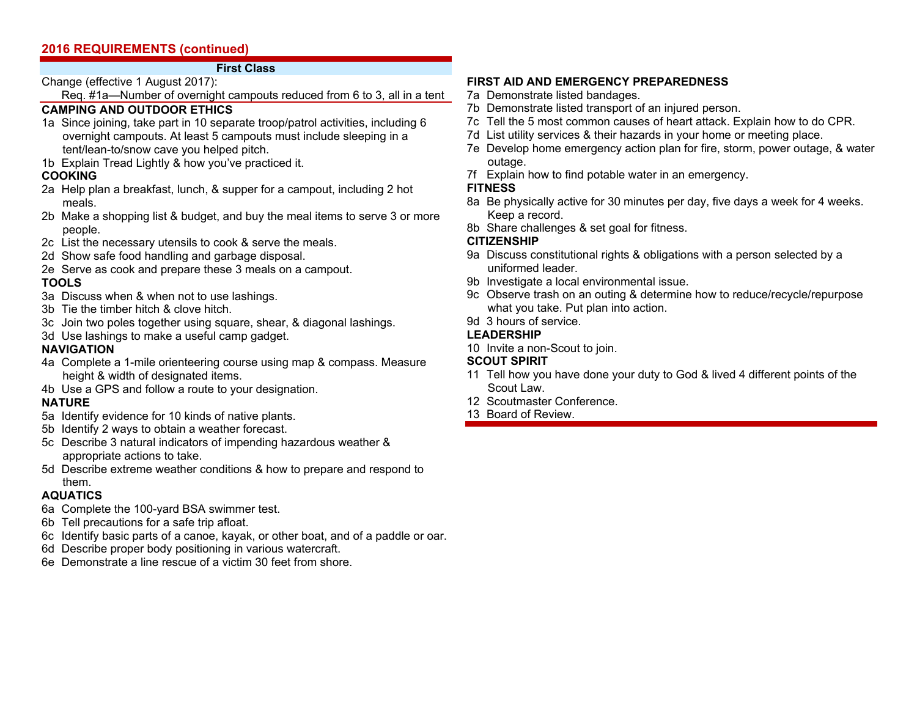### **First Class**

Change (effective 1 August 2017):

Req. #1a—Number of overnight campouts reduced from 6 to 3, all in a tent

## **CAMPING AND OUTDOOR ETHICS**

- 1a Since joining, take part in 10 separate troop/patrol activities, including 6 overnight campouts. At least 5 campouts must include sleeping in a tent/lean-to/snow cave you helped pitch.
- 1b Explain Tread Lightly & how you've practiced it.

### **COOKING**

- 2a Help plan a breakfast, lunch, & supper for a campout, including 2 hot meals.
- 2b Make a shopping list & budget, and buy the meal items to serve 3 or more people.
- 2c List the necessary utensils to cook & serve the meals.
- 2d Show safe food handling and garbage disposal.
- 2e Serve as cook and prepare these 3 meals on a campout.

### **TOOLS**

- 3a Discuss when & when not to use lashings.
- 3b Tie the timber hitch & clove hitch.
- 3c Join two poles together using square, shear, & diagonal lashings.
- 3d Use lashings to make a useful camp gadget.

## **NAVIGATION**

- 4a Complete a 1-mile orienteering course using map & compass. Measure height & width of designated items.
- 4b Use a GPS and follow a route to your designation.

## **NATURE**

- 5a Identify evidence for 10 kinds of native plants.
- 5b Identify 2 ways to obtain a weather forecast.
- 5c Describe 3 natural indicators of impending hazardous weather & appropriate actions to take.
- 5d Describe extreme weather conditions & how to prepare and respond to them.

## **AQUATICS**

- 6a Complete the 100-yard BSA swimmer test.
- 6b Tell precautions for a safe trip afloat.
- 6c Identify basic parts of a canoe, kayak, or other boat, and of a paddle or oar.
- 6d Describe proper body positioning in various watercraft.
- 6e Demonstrate a line rescue of a victim 30 feet from shore.

## **FIRST AID AND EMERGENCY PREPAREDNESS**

- 7a Demonstrate listed bandages.
- 7b Demonstrate listed transport of an injured person.
- 7c Tell the 5 most common causes of heart attack. Explain how to do CPR.
- 7d List utility services & their hazards in your home or meeting place.
- 7e Develop home emergency action plan for fire, storm, power outage, & water outage.
- 7f Explain how to find potable water in an emergency.

## **FITNESS**

- 8a Be physically active for 30 minutes per day, five days a week for 4 weeks. Keep a record.
- 8b Share challenges & set goal for fitness.

### **CITIZENSHIP**

- 9a Discuss constitutional rights & obligations with a person selected by a uniformed leader.
- 9b Investigate a local environmental issue.
- 9c Observe trash on an outing & determine how to reduce/recycle/repurpose what you take. Put plan into action.
- 9d 3 hours of service.

## **LEADERSHIP**

10 Invite a non-Scout to join.

## **SCOUT SPIRIT**

- 11 Tell how you have done your duty to God & lived 4 different points of the Scout Law.
- 12 Scoutmaster Conference.
- 13 Board of Review.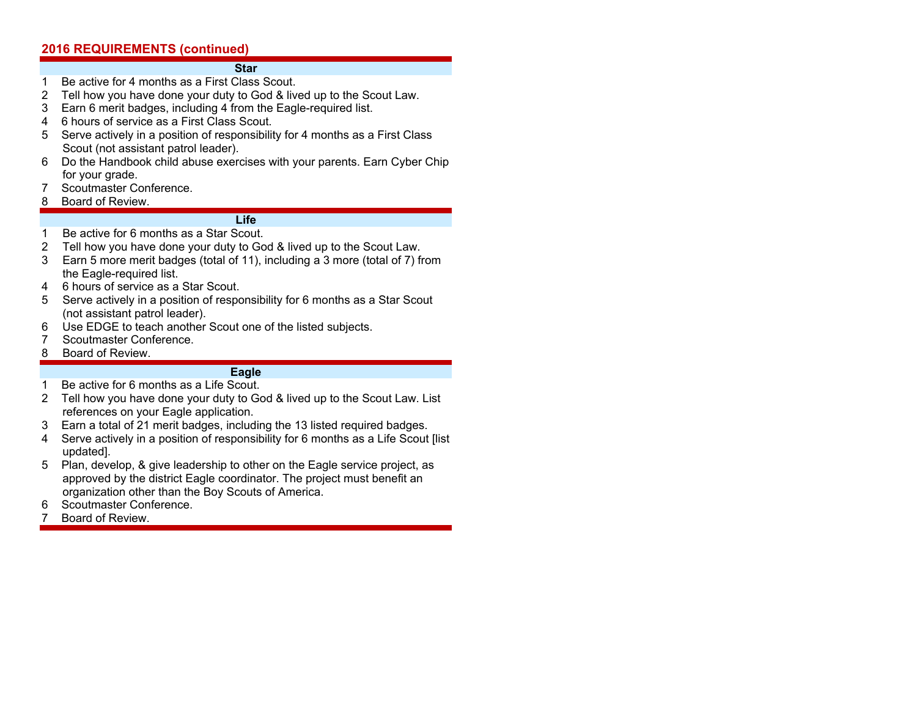#### **Star**

- 1 Be active for 4 months as a First Class Scout.
- 2 Tell how you have done your duty to God & lived up to the Scout Law.
- 3 Earn 6 merit badges, including 4 from the Eagle-required list.
- 4 6 hours of service as a First Class Scout.
- 5 Serve actively in a position of responsibility for 4 months as a First Class Scout (not assistant patrol leader).
- 6 Do the Handbook child abuse exercises with your parents. Earn Cyber Chip for your grade.
- 7 Scoutmaster Conference.
- 8 Board of Review.

### **Life**

- 1 Be active for 6 months as a Star Scout.
- 2 Tell how you have done your duty to God & lived up to the Scout Law.
- 3 Earn 5 more merit badges (total of 11), including a 3 more (total of 7) from the Eagle-required list.
- 4 6 hours of service as a Star Scout.
- 5 Serve actively in a position of responsibility for 6 months as a Star Scout (not assistant patrol leader).
- 6 Use EDGE to teach another Scout one of the listed subjects.
- 7 Scoutmaster Conference.
- 8 Board of Review.

### **Eagle**

- 1 Be active for 6 months as a Life Scout.
- 2 Tell how you have done your duty to God & lived up to the Scout Law. List references on your Eagle application.
- 3 Earn a total of 21 merit badges, including the 13 listed required badges.
- 4 Serve actively in a position of responsibility for 6 months as a Life Scout [list updated].
- 5 Plan, develop, & give leadership to other on the Eagle service project, as approved by the district Eagle coordinator. The project must benefit an organization other than the Boy Scouts of America.
- 6 Scoutmaster Conference.
- 7 Board of Review.